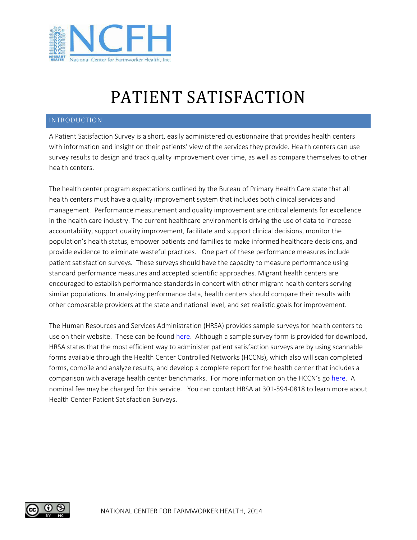

## PATIENT SATISFACTION

## INTRODUCTION

A Patient Satisfaction Survey is a short, easily administered questionnaire that provides health centers with information and insight on their patients' view of the services they provide. Health centers can use survey results to design and track quality improvement over time, as well as compare themselves to other health centers.

The health center program expectations outlined by the Bureau of Primary Health Care state that all health centers must have a quality improvement system that includes both clinical services and management. Performance measurement and quality improvement are critical elements for excellence in the health care industry. The current healthcare environment is driving the use of data to increase accountability, support quality improvement, facilitate and support clinical decisions, monitor the population's health status, empower patients and families to make informed healthcare decisions, and provide evidence to eliminate wasteful practices. One part of these performance measures include patient satisfaction surveys. These surveys should have the capacity to measure performance using standard performance measures and accepted scientific approaches. Migrant health centers are encouraged to establish performance standards in concert with other migrant health centers serving similar populations. In analyzing performance data, health centers should compare their results with other comparable providers at the state and national level, and set realistic goals for improvement.

The Human Resources and Services Administration (HRSA) provides sample surveys for health centers to use on their website. These can be found [here.](http://bphc.hrsa.gov/patientsurvey/samplesurvey.htm) Although a sample survey form is provided for download, HRSA states that the most efficient way to administer patient satisfaction surveys are by using scannable forms available through the Health Center Controlled Networks (HCCNs), which also will scan completed forms, compile and analyze results, and develop a complete report for the health center that includes a comparison with average health center benchmarks. For more information on the HCCN's go [here.](http://www.hrsa.gov/healthit/healthcenternetworks) A nominal fee may be charged for this service. You can contact HRSA at 301-594-0818 to learn more about Health Center Patient Satisfaction Surveys.